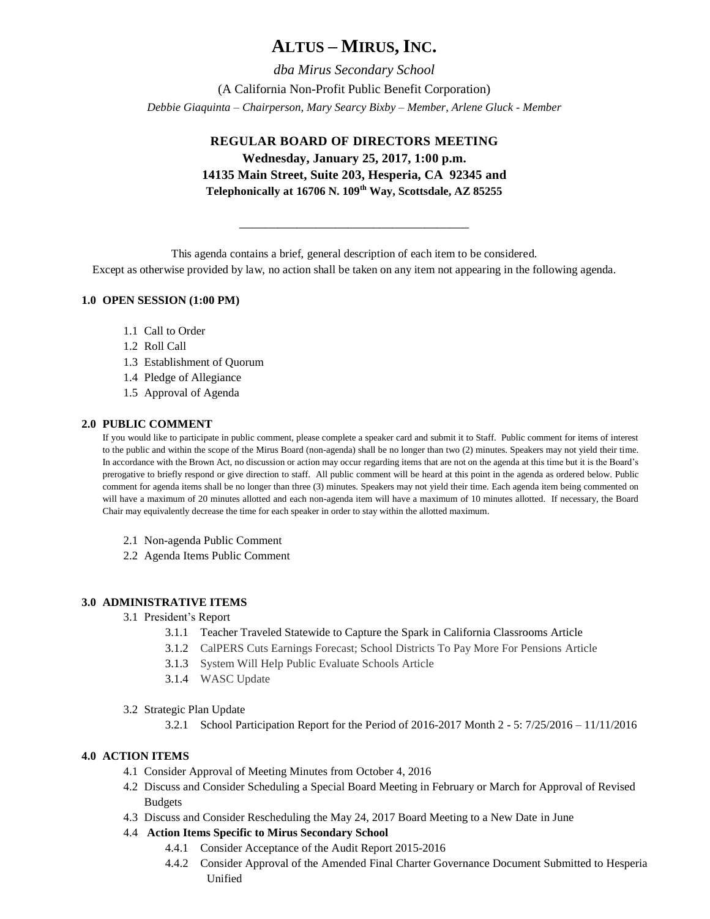# **ALTUS – MIRUS, INC.**

*dba Mirus Secondary School* (A California Non-Profit Public Benefit Corporation) *Debbie Giaquinta – Chairperson, Mary Searcy Bixby – Member, Arlene Gluck - Member*

## **REGULAR BOARD OF DIRECTORS MEETING Wednesday, January 25, 2017, 1:00 p.m. 14135 Main Street, Suite 203, Hesperia, CA 92345 and Telephonically at 16706 N. 109th Way, Scottsdale, AZ 85255**

This agenda contains a brief, general description of each item to be considered.

Except as otherwise provided by law, no action shall be taken on any item not appearing in the following agenda.

\_\_\_\_\_\_\_\_\_\_\_\_\_\_\_\_\_\_\_\_\_\_\_\_\_\_\_\_\_\_\_\_\_\_\_\_

## **1.0 OPEN SESSION (1:00 PM)**

- 1.1 Call to Order
- 1.2 Roll Call
- 1.3 Establishment of Quorum
- 1.4 Pledge of Allegiance
- 1.5 Approval of Agenda

### **2.0 PUBLIC COMMENT**

If you would like to participate in public comment, please complete a speaker card and submit it to Staff. Public comment for items of interest to the public and within the scope of the Mirus Board (non-agenda) shall be no longer than two (2) minutes. Speakers may not yield their time. In accordance with the Brown Act, no discussion or action may occur regarding items that are not on the agenda at this time but it is the Board's prerogative to briefly respond or give direction to staff. All public comment will be heard at this point in the agenda as ordered below. Public comment for agenda items shall be no longer than three (3) minutes. Speakers may not yield their time. Each agenda item being commented on will have a maximum of 20 minutes allotted and each non-agenda item will have a maximum of 10 minutes allotted. If necessary, the Board Chair may equivalently decrease the time for each speaker in order to stay within the allotted maximum.

- 2.1 Non-agenda Public Comment
- 2.2 Agenda Items Public Comment

#### **3.0 ADMINISTRATIVE ITEMS**

- 3.1 President's Report
	- 3.1.1 [Teacher Traveled Statewide to Capture the Spark in California Classrooms](http://r20.rs6.net/tn.jsp?f=001ZG53CVngJoPdhg2SogpUKcV5pHUVi6mtrUp5hxFf2PwSdJ_Ke2QSVG0kKHkRttK0XLf-56TbvSwk53Zc-hm9C8w7jxHW50t_w8GPRLJDDurIjQJTgZayNJZWz9fzqThEVDnbf_9nB7tCxgWoeBdwaKS4hLcNEAwNxCGC_Iobw7DJy9oJxRxVoq0tI4RINQU88gkZMxRqrSB7KLxBTtXaVzGe0J2VdjujbLTkaWhnA3-xHSH3pVVwaPoSTx36zf9cz-kcNzRD8W7t7OyfnkodlTg4WXFHYAH4__Ky8G57MfEUJgJi8aGt4f0sAhtRbMTsv1cCligXHYPBJVX42E0qC1oZPqsX_9_sAnBM3cMfbuFA3bumniTFtTfD88yGvKUBQHw2oz8kY4yOYo2xaXXaKg==&c=D-YaxvV2rKHy-Smui1PNaTv_WElEhw50L-jxyKI-UUN8yk_4itixAQ==&ch=NDD2Mq5M978Z0Z0duY52_m3BgFAQoMe-kz1PIa_e5RkP3SNgi4e6Bg==) Article
	- 3.1.2 CalPERS Cuts Earnings Forecast; School Districts To Pay More For Pensions Article
	- 3.1.3 System Will Help Public Evaluate Schools Article
	- 3.1.4 WASC Update
- 3.2 Strategic Plan Update
	- 3.2.1 School Participation Report for the Period of 2016-2017 Month 2 5: 7/25/2016 11/11/2016

## **4.0 ACTION ITEMS**

- 4.1 Consider Approval of Meeting Minutes from October 4, 2016
- 4.2 Discuss and Consider Scheduling a Special Board Meeting in February or March for Approval of Revised Budgets
- 4.3 Discuss and Consider Rescheduling the May 24, 2017 Board Meeting to a New Date in June

## 4.4 **Action Items Specific to Mirus Secondary School**

- 4.4.1 Consider Acceptance of the Audit Report 2015-2016
- 4.4.2 Consider Approval of the Amended Final Charter Governance Document Submitted to Hesperia Unified